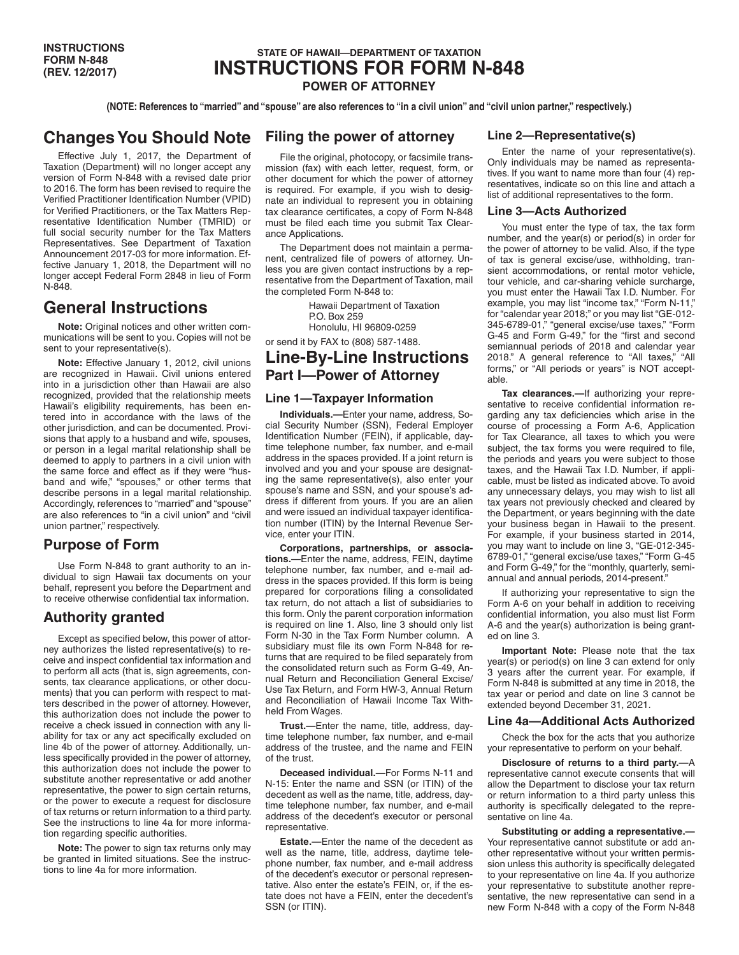### **STATE OF HAWAII—DEPARTMENT OF TAXATION INSTRUCTIONS FOR FORM N-848 POWER OF ATTORNEY**

**(NOTE: References to "married" and "spouse" are also references to "in a civil union" and "civil union partner," respectively.)**

# **Changes You Should Note**

Effective July 1, 2017, the Department of Taxation (Department) will no longer accept any version of Form N-848 with a revised date prior to 2016. The form has been revised to require the Verified Practitioner Identification Number (VPID) for Verified Practitioners, or the Tax Matters Representative Identification Number (TMRID) or full social security number for the Tax Matters Representatives. See Department of Taxation Announcement 2017-03 for more information. Effective January 1, 2018, the Department will no longer accept Federal Form 2848 in lieu of Form N-848.

# **General Instructions**

**Note:** Original notices and other written communications will be sent to you. Copies will not be sent to your representative(s).

**Note:** Effective January 1, 2012, civil unions are recognized in Hawaii. Civil unions entered into in a jurisdiction other than Hawaii are also recognized, provided that the relationship meets Hawaii's eligibility requirements, has been entered into in accordance with the laws of the other jurisdiction, and can be documented. Provisions that apply to a husband and wife, spouses, or person in a legal marital relationship shall be deemed to apply to partners in a civil union with the same force and effect as if they were "husband and wife," "spouses," or other terms that describe persons in a legal marital relationship. Accordingly, references to "married" and "spouse" are also references to "in a civil union" and "civil union partner," respectively.

### **Purpose of Form**

Use Form N-848 to grant authority to an individual to sign Hawaii tax documents on your behalf, represent you before the Department and to receive otherwise confidential tax information.

## **Authority granted**

Except as specified below, this power of attorney authorizes the listed representative(s) to receive and inspect confidential tax information and to perform all acts (that is, sign agreements, consents, tax clearance applications, or other documents) that you can perform with respect to matters described in the power of attorney. However, this authorization does not include the power to receive a check issued in connection with any liability for tax or any act specifically excluded on line 4b of the power of attorney. Additionally, unless specifically provided in the power of attorney, this authorization does not include the power to substitute another representative or add another representative, the power to sign certain returns, or the power to execute a request for disclosure of tax returns or return information to a third party. See the instructions to line 4a for more information regarding specific authorities.

**Note:** The power to sign tax returns only may be granted in limited situations. See the instructions to line 4a for more information.

### **Filing the power of attorney**

File the original, photocopy, or facsimile transmission (fax) with each letter, request, form, or other document for which the power of attorney is required. For example, if you wish to designate an individual to represent you in obtaining tax clearance certificates, a copy of Form N-848 must be filed each time you submit Tax Clearance Applications.

The Department does not maintain a permanent, centralized file of powers of attorney. Unless you are given contact instructions by a representative from the Department of Taxation, mail the completed Form N-848 to:

> Hawaii Department of Taxation P.O. Box 259 Honolulu, HI 96809-0259

or send it by FAX to (808) 587-1488.

# **Line-By-Line Instructions Part I—Power of Attorney**

#### **Line 1—Taxpayer Information**

**Individuals.—**Enter your name, address, Social Security Number (SSN), Federal Employer Identification Number (FEIN), if applicable, daytime telephone number, fax number, and e-mail address in the spaces provided. If a joint return is involved and you and your spouse are designating the same representative(s), also enter your spouse's name and SSN, and your spouse's address if different from yours. If you are an alien and were issued an individual taxpayer identification number (ITIN) by the Internal Revenue Service, enter your ITIN.

**Corporations, partnerships, or associations.—**Enter the name, address, FEIN, daytime telephone number, fax number, and e-mail address in the spaces provided. If this form is being prepared for corporations filing a consolidated tax return, do not attach a list of subsidiaries to this form. Only the parent corporation information is required on line 1. Also, line 3 should only list Form N-30 in the Tax Form Number column. A subsidiary must file its own Form N-848 for returns that are required to be filed separately from the consolidated return such as Form G-49, Annual Return and Reconciliation General Excise/ Use Tax Return, and Form HW-3, Annual Return and Reconciliation of Hawaii Income Tax Withheld From Wages.

**Trust.—**Enter the name, title, address, daytime telephone number, fax number, and e-mail address of the trustee, and the name and FEIN of the trust.

**Deceased individual.—**For Forms N-11 and N-15: Enter the name and SSN (or ITIN) of the decedent as well as the name, title, address, daytime telephone number, fax number, and e-mail address of the decedent's executor or personal representative.

**Estate.—**Enter the name of the decedent as well as the name, title, address, daytime telephone number, fax number, and e-mail address of the decedent's executor or personal representative. Also enter the estate's FEIN, or, if the estate does not have a FEIN, enter the decedent's SSN (or ITIN).

#### **Line 2—Representative(s)**

Enter the name of your representative(s). Only individuals may be named as representatives. If you want to name more than four (4) representatives, indicate so on this line and attach a list of additional representatives to the form.

#### **Line 3—Acts Authorized**

You must enter the type of tax, the tax form number, and the year(s) or period(s) in order for the power of attorney to be valid. Also, if the type of tax is general excise/use, withholding, transient accommodations, or rental motor vehicle, tour vehicle, and car-sharing vehicle surcharge, you must enter the Hawaii Tax I.D. Number. For example, you may list "income tax," "Form N-11," for "calendar year 2018;" or you may list "GE-012- 345-6789-01," "general excise/use taxes," "Form G-45 and Form G-49," for the "first and second semiannual periods of 2018 and calendar year 2018." A general reference to "All taxes," "All forms," or "All periods or years" is NOT acceptable.

**Tax clearances.—**If authorizing your representative to receive confidential information regarding any tax deficiencies which arise in the course of processing a Form A-6, Application for Tax Clearance, all taxes to which you were subject, the tax forms you were required to file, the periods and years you were subject to those taxes, and the Hawaii Tax I.D. Number, if applicable, must be listed as indicated above. To avoid any unnecessary delays, you may wish to list all tax years not previously checked and cleared by the Department, or years beginning with the date your business began in Hawaii to the present. For example, if your business started in 2014, you may want to include on line 3, "GE-012-345- 6789-01," "general excise/use taxes," "Form G-45 and Form G-49," for the "monthly, quarterly, semiannual and annual periods, 2014-present."

If authorizing your representative to sign the Form A-6 on your behalf in addition to receiving confidential information, you also must list Form A-6 and the year(s) authorization is being granted on line 3.

**Important Note:** Please note that the tax year(s) or period(s) on line 3 can extend for only 3 years after the current year. For example, if Form N-848 is submitted at any time in 2018, the tax year or period and date on line 3 cannot be extended beyond December 31, 2021.

#### **Line 4a—Additional Acts Authorized**

Check the box for the acts that you authorize your representative to perform on your behalf.

**Disclosure of returns to a third party.—**A representative cannot execute consents that will allow the Department to disclose your tax return or return information to a third party unless this authority is specifically delegated to the representative on line 4a.

**Substituting or adding a representative.—** Your representative cannot substitute or add another representative without your written permission unless this authority is specifically delegated to your representative on line 4a. If you authorize your representative to substitute another representative, the new representative can send in a new Form N-848 with a copy of the Form N-848